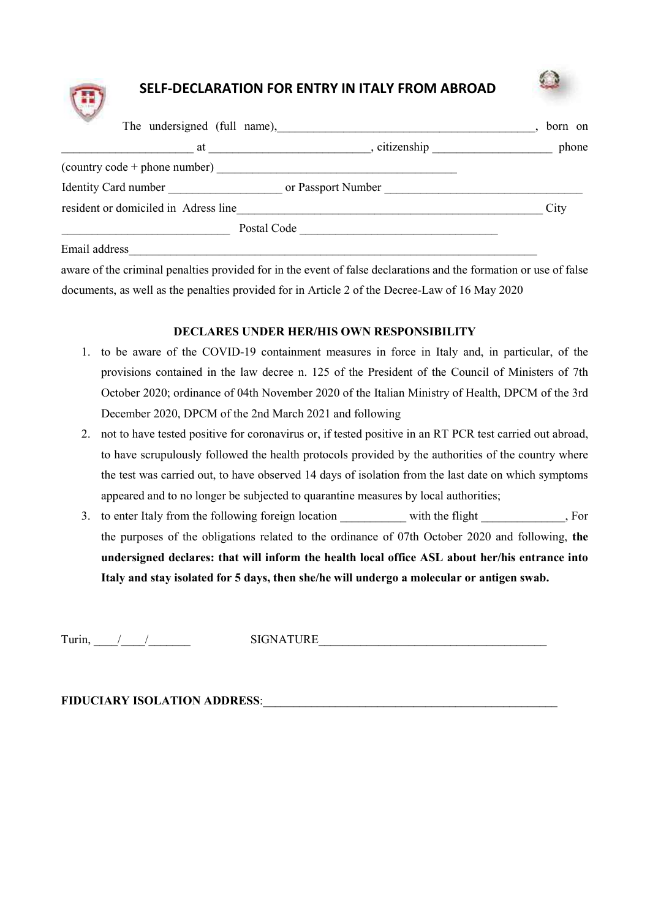## SELF-DECLARATION FOR ENTRY IN ITALY FROM ABROAD



| <u>na</u> k<br>The undersigned (full name),                                                                                                                                                                                    |                    | born on |
|--------------------------------------------------------------------------------------------------------------------------------------------------------------------------------------------------------------------------------|--------------------|---------|
| at the contract of the contract of the contract of the contract of the contract of the contract of the contract of the contract of the contract of the contract of the contract of the contract of the contract of the contrac | , citizenship      | phone   |
| (country code + phone number)                                                                                                                                                                                                  |                    |         |
| Identity Card number                                                                                                                                                                                                           | or Passport Number |         |
| resident or domiciled in Adress line                                                                                                                                                                                           |                    | City    |
| Postal Code                                                                                                                                                                                                                    |                    |         |
| Email address                                                                                                                                                                                                                  |                    |         |

aware of the criminal penalties provided for in the event of false declarations and the formation or use of false documents, as well as the penalties provided for in Article 2 of the Decree-Law of 16 May 2020

#### DECLARES UNDER HER/HIS OWN RESPONSIBILITY

- 1. to be aware of the COVID-19 containment measures in force in Italy and, in particular, of the provisions contained in the law decree n. 125 of the President of the Council of Ministers of 7th October 2020; ordinance of 04th November 2020 of the Italian Ministry of Health, DPCM of the 3rd December 2020, DPCM of the 2nd March 2021 and following
- 2. not to have tested positive for coronavirus or, if tested positive in an RT PCR test carried out abroad, to have scrupulously followed the health protocols provided by the authorities of the country where the test was carried out, to have observed 14 days of isolation from the last date on which symptoms appeared and to no longer be subjected to quarantine measures by local authorities;
- 3. to enter Italy from the following foreign location with the flight  $\qquad \qquad$ , For the purposes of the obligations related to the ordinance of 07th October 2020 and following, the undersigned declares: that will inform the health local office ASL about her/his entrance into Italy and stay isolated for 5 days, then she/he will undergo a molecular or antigen swab.

Turin, / / SIGNATURE

FIDUCIARY ISOLATION ADDRESS: